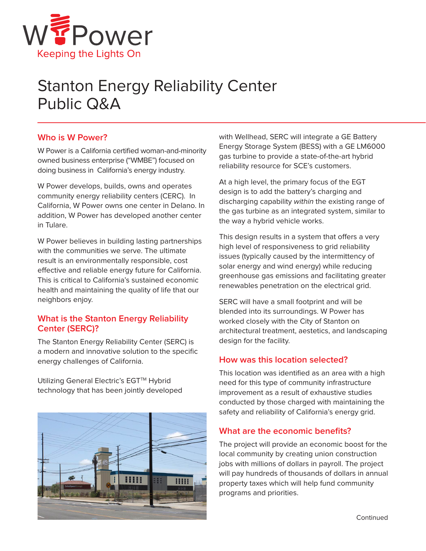

# Stanton Energy Reliability Center Public Q&A

### **Who is W Power?**

W Power is a California certified woman-and-minority owned business enterprise ("WMBE") focused on doing business in California's energy industry.

W Power develops, builds, owns and operates community energy reliability centers (CERC). In California, W Power owns one center in Delano. In addition, W Power has developed another center in Tulare.

W Power believes in building lasting partnerships with the communities we serve. The ultimate result is an environmentally responsible, cost effective and reliable energy future for California. This is critical to California's sustained economic health and maintaining the quality of life that our neighbors enjoy.

## **What is the Stanton Energy Reliability Center (SERC)?**

The Stanton Energy Reliability Center (SERC) is a modern and innovative solution to the specific energy challenges of California.

Utilizing General Electric's EGT™ Hybrid technology that has been jointly developed



with Wellhead, SERC will integrate a GE Battery Energy Storage System (BESS) with a GE LM6000 gas turbine to provide a state-of-the-art hybrid reliability resource for SCE's customers.

At a high level, the primary focus of the EGT design is to add the battery's charging and discharging capability within the existing range of the gas turbine as an integrated system, similar to the way a hybrid vehicle works.

This design results in a system that offers a very high level of responsiveness to grid reliability issues (typically caused by the intermittency of solar energy and wind energy) while reducing greenhouse gas emissions and facilitating greater renewables penetration on the electrical grid.

SERC will have a small footprint and will be blended into its surroundings. W Power has worked closely with the City of Stanton on architectural treatment, aestetics, and landscaping design for the facility.

## **How was this location selected?**

This location was identified as an area with a high need for this type of community infrastructure improvement as a result of exhaustive studies conducted by those charged with maintaining the safety and reliability of California's energy grid.

#### **What are the economic benefits?**

The project will provide an economic boost for the local community by creating union construction jobs with millions of dollars in payroll. The project will pay hundreds of thousands of dollars in annual property taxes which will help fund community programs and priorities.